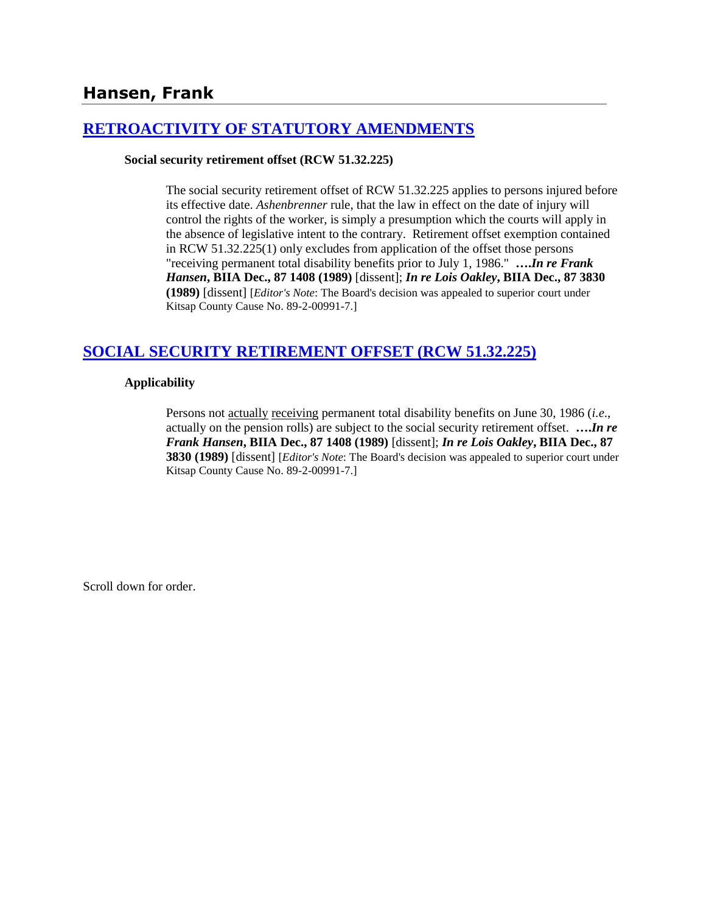## **Hansen, Frank**

### **[RETROACTIVITY OF STATUTORY AMENDMENTS](http://www.biia.wa.gov/SDSubjectIndex.html#RETROACTIVITY_OF_STATUTORY_AMENDMENTS)**

#### **Social security retirement offset (RCW 51.32.225)**

The social security retirement offset of RCW 51.32.225 applies to persons injured before its effective date. *Ashenbrenner* rule, that the law in effect on the date of injury will control the rights of the worker, is simply a presumption which the courts will apply in the absence of legislative intent to the contrary. Retirement offset exemption contained in RCW 51.32.225(1) only excludes from application of the offset those persons "receiving permanent total disability benefits prior to July 1, 1986." **….***In re Frank Hansen***, BIIA Dec., 87 1408 (1989)** [dissent]; *In re Lois Oakley***, BIIA Dec., 87 3830 (1989)** [dissent] [*Editor's Note*: The Board's decision was appealed to superior court under Kitsap County Cause No. 89-2-00991-7.]

### **[SOCIAL SECURITY RETIREMENT OFFSET \(RCW 51.32.225\)](http://www.biia.wa.gov/SDSubjectIndex.html#SOCIAL_SECURITY_DISABILITY_OFFSET)**

#### **Applicability**

Persons not actually receiving permanent total disability benefits on June 30, 1986 (*i.e*., actually on the pension rolls) are subject to the social security retirement offset. **….***In re Frank Hansen***, BIIA Dec., 87 1408 (1989)** [dissent]; *In re Lois Oakley***, BIIA Dec., 87 3830 (1989)** [dissent] [*Editor's Note*: The Board's decision was appealed to superior court under Kitsap County Cause No. 89-2-00991-7.]

Scroll down for order.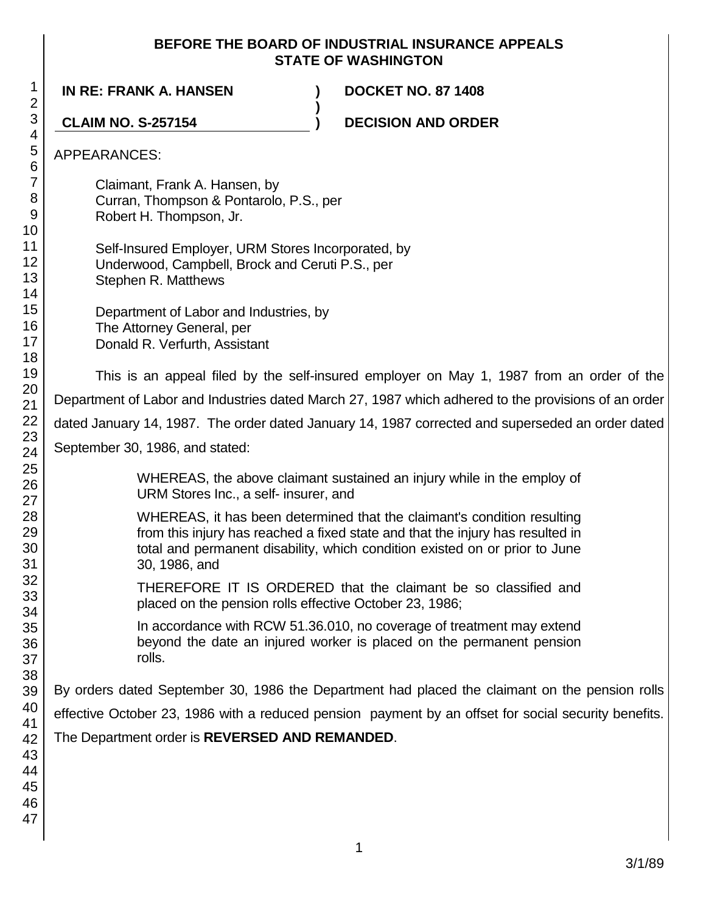### **BEFORE THE BOARD OF INDUSTRIAL INSURANCE APPEALS STATE OF WASHINGTON**

**IN RE: FRANK A. HANSEN ) DOCKET NO. 87 1408**

**) CLAIM NO. S-257154 ) DECISION AND ORDER** APPEARANCES: Claimant, Frank A. Hansen, by Curran, Thompson & Pontarolo, P.S., per Robert H. Thompson, Jr. Self-Insured Employer, URM Stores Incorporated, by Underwood, Campbell, Brock and Ceruti P.S., per Stephen R. Matthews Department of Labor and Industries, by The Attorney General, per Donald R. Verfurth, Assistant This is an appeal filed by the self-insured employer on May 1, 1987 from an order of the Department of Labor and Industries dated March 27, 1987 which adhered to the provisions of an order dated January 14, 1987. The order dated January 14, 1987 corrected and superseded an order dated September 30, 1986, and stated: WHEREAS, the above claimant sustained an injury while in the employ of URM Stores Inc., a self- insurer, and WHEREAS, it has been determined that the claimant's condition resulting from this injury has reached a fixed state and that the injury has resulted in total and permanent disability, which condition existed on or prior to June 30, 1986, and THEREFORE IT IS ORDERED that the claimant be so classified and placed on the pension rolls effective October 23, 1986; In accordance with RCW 51.36.010, no coverage of treatment may extend beyond the date an injured worker is placed on the permanent pension rolls. By orders dated September 30, 1986 the Department had placed the claimant on the pension rolls effective October 23, 1986 with a reduced pension payment by an offset for social security benefits. The Department order is **REVERSED AND REMANDED**.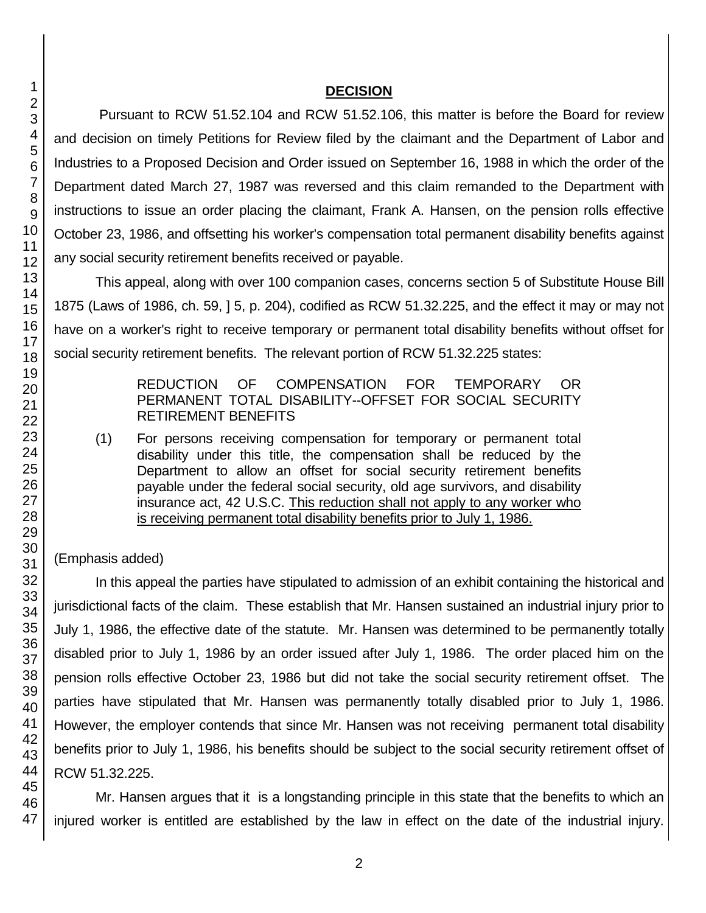#### **DECISION**

Pursuant to RCW 51.52.104 and RCW 51.52.106, this matter is before the Board for review and decision on timely Petitions for Review filed by the claimant and the Department of Labor and Industries to a Proposed Decision and Order issued on September 16, 1988 in which the order of the Department dated March 27, 1987 was reversed and this claim remanded to the Department with instructions to issue an order placing the claimant, Frank A. Hansen, on the pension rolls effective October 23, 1986, and offsetting his worker's compensation total permanent disability benefits against any social security retirement benefits received or payable.

This appeal, along with over 100 companion cases, concerns section 5 of Substitute House Bill 1875 (Laws of 1986, ch. 59, ] 5, p. 204), codified as RCW 51.32.225, and the effect it may or may not have on a worker's right to receive temporary or permanent total disability benefits without offset for social security retirement benefits. The relevant portion of RCW 51.32.225 states:

#### REDUCTION OF COMPENSATION FOR TEMPORARY OR PERMANENT TOTAL DISABILITY--OFFSET FOR SOCIAL SECURITY RETIREMENT BENEFITS

(1) For persons receiving compensation for temporary or permanent total disability under this title, the compensation shall be reduced by the Department to allow an offset for social security retirement benefits payable under the federal social security, old age survivors, and disability insurance act, 42 U.S.C. This reduction shall not apply to any worker who is receiving permanent total disability benefits prior to July 1, 1986.

### (Emphasis added)

In this appeal the parties have stipulated to admission of an exhibit containing the historical and jurisdictional facts of the claim. These establish that Mr. Hansen sustained an industrial injury prior to July 1, 1986, the effective date of the statute. Mr. Hansen was determined to be permanently totally disabled prior to July 1, 1986 by an order issued after July 1, 1986. The order placed him on the pension rolls effective October 23, 1986 but did not take the social security retirement offset. The parties have stipulated that Mr. Hansen was permanently totally disabled prior to July 1, 1986. However, the employer contends that since Mr. Hansen was not receiving permanent total disability benefits prior to July 1, 1986, his benefits should be subject to the social security retirement offset of RCW 51.32.225.

Mr. Hansen argues that it is a longstanding principle in this state that the benefits to which an injured worker is entitled are established by the law in effect on the date of the industrial injury.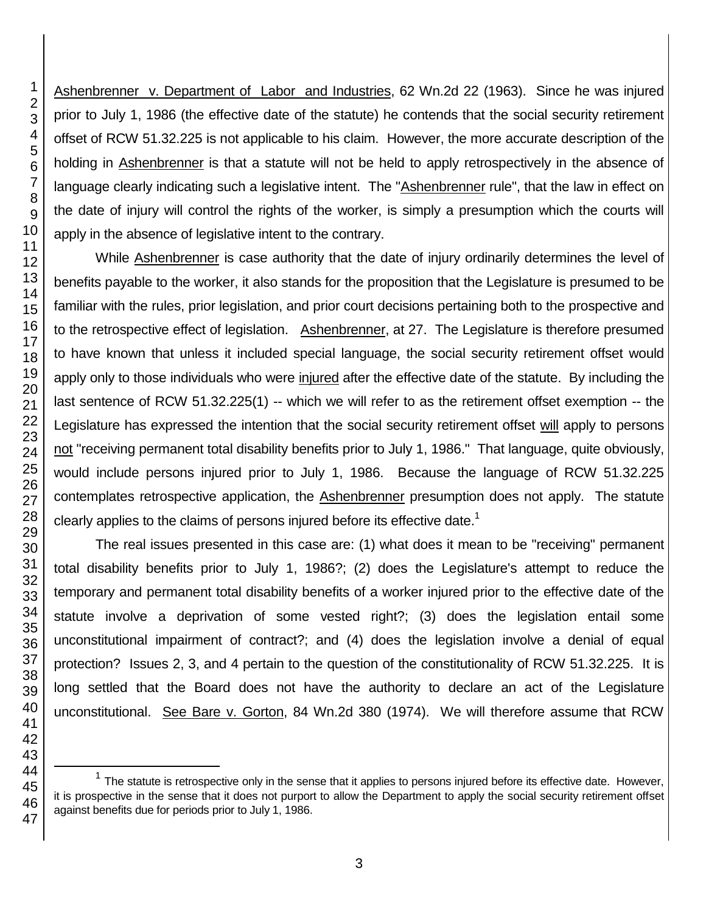Ashenbrenner v. Department of Labor and Industries, 62 Wn.2d 22 (1963). Since he was injured prior to July 1, 1986 (the effective date of the statute) he contends that the social security retirement offset of RCW 51.32.225 is not applicable to his claim. However, the more accurate description of the holding in Ashenbrenner is that a statute will not be held to apply retrospectively in the absence of language clearly indicating such a legislative intent. The "Ashenbrenner rule", that the law in effect on the date of injury will control the rights of the worker, is simply a presumption which the courts will apply in the absence of legislative intent to the contrary.

While Ashenbrenner is case authority that the date of injury ordinarily determines the level of benefits payable to the worker, it also stands for the proposition that the Legislature is presumed to be familiar with the rules, prior legislation, and prior court decisions pertaining both to the prospective and to the retrospective effect of legislation. Ashenbrenner, at 27. The Legislature is therefore presumed to have known that unless it included special language, the social security retirement offset would apply only to those individuals who were injured after the effective date of the statute. By including the last sentence of RCW 51.32.225(1) -- which we will refer to as the retirement offset exemption -- the Legislature has expressed the intention that the social security retirement offset will apply to persons not "receiving permanent total disability benefits prior to July 1, 1986." That language, quite obviously, would include persons injured prior to July 1, 1986. Because the language of RCW 51.32.225 contemplates retrospective application, the **Ashenbrenner** presumption does not apply. The statute clearly applies to the claims of persons injured before its effective date.<sup>1</sup>

The real issues presented in this case are: (1) what does it mean to be "receiving" permanent total disability benefits prior to July 1, 1986?; (2) does the Legislature's attempt to reduce the temporary and permanent total disability benefits of a worker injured prior to the effective date of the statute involve a deprivation of some vested right?; (3) does the legislation entail some unconstitutional impairment of contract?; and (4) does the legislation involve a denial of equal protection? Issues 2, 3, and 4 pertain to the question of the constitutionality of RCW 51.32.225. It is long settled that the Board does not have the authority to declare an act of the Legislature unconstitutional. See Bare v. Gorton, 84 Wn.2d 380 (1974). We will therefore assume that RCW

l

 The statute is retrospective only in the sense that it applies to persons injured before its effective date. However, it is prospective in the sense that it does not purport to allow the Department to apply the social security retirement offset against benefits due for periods prior to July 1, 1986.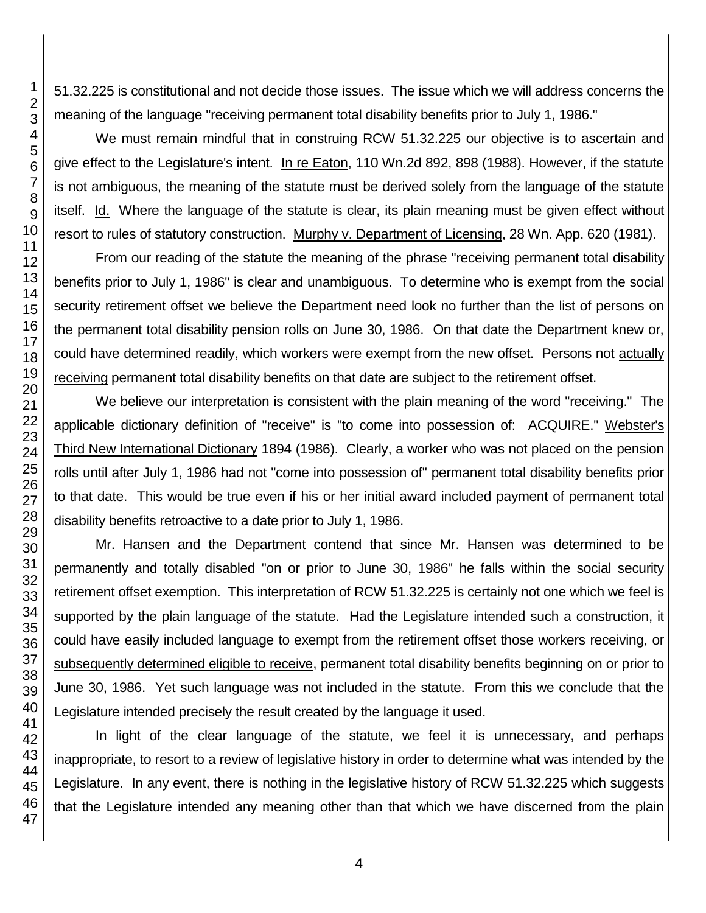51.32.225 is constitutional and not decide those issues. The issue which we will address concerns the meaning of the language "receiving permanent total disability benefits prior to July 1, 1986."

We must remain mindful that in construing RCW 51.32.225 our objective is to ascertain and give effect to the Legislature's intent. In re Eaton, 110 Wn.2d 892, 898 (1988). However, if the statute is not ambiguous, the meaning of the statute must be derived solely from the language of the statute itself. Id. Where the language of the statute is clear, its plain meaning must be given effect without resort to rules of statutory construction. Murphy v. Department of Licensing, 28 Wn. App. 620 (1981).

From our reading of the statute the meaning of the phrase "receiving permanent total disability benefits prior to July 1, 1986" is clear and unambiguous. To determine who is exempt from the social security retirement offset we believe the Department need look no further than the list of persons on the permanent total disability pension rolls on June 30, 1986. On that date the Department knew or, could have determined readily, which workers were exempt from the new offset. Persons not actually receiving permanent total disability benefits on that date are subject to the retirement offset.

We believe our interpretation is consistent with the plain meaning of the word "receiving." The applicable dictionary definition of "receive" is "to come into possession of: ACQUIRE." Webster's Third New International Dictionary 1894 (1986). Clearly, a worker who was not placed on the pension rolls until after July 1, 1986 had not "come into possession of" permanent total disability benefits prior to that date. This would be true even if his or her initial award included payment of permanent total disability benefits retroactive to a date prior to July 1, 1986.

Mr. Hansen and the Department contend that since Mr. Hansen was determined to be permanently and totally disabled "on or prior to June 30, 1986" he falls within the social security retirement offset exemption. This interpretation of RCW 51.32.225 is certainly not one which we feel is supported by the plain language of the statute. Had the Legislature intended such a construction, it could have easily included language to exempt from the retirement offset those workers receiving, or subsequently determined eligible to receive, permanent total disability benefits beginning on or prior to June 30, 1986. Yet such language was not included in the statute. From this we conclude that the Legislature intended precisely the result created by the language it used.

In light of the clear language of the statute, we feel it is unnecessary, and perhaps inappropriate, to resort to a review of legislative history in order to determine what was intended by the Legislature. In any event, there is nothing in the legislative history of RCW 51.32.225 which suggests that the Legislature intended any meaning other than that which we have discerned from the plain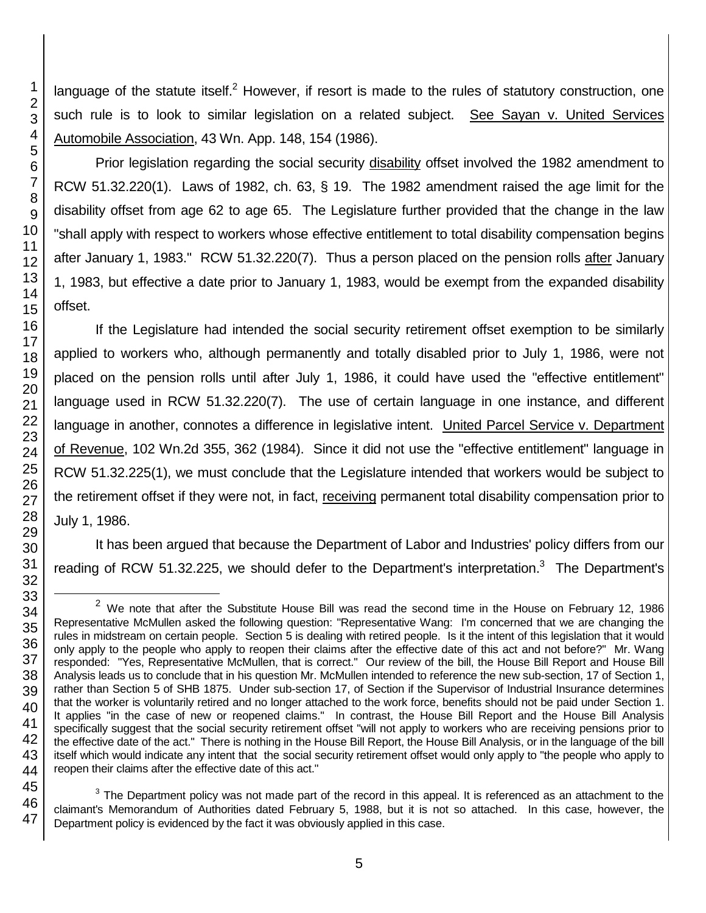language of the statute itself.<sup>2</sup> However, if resort is made to the rules of statutory construction, one such rule is to look to similar legislation on a related subject. See Sayan v. United Services Automobile Association, 43 Wn. App. 148, 154 (1986).

Prior legislation regarding the social security disability offset involved the 1982 amendment to RCW 51.32.220(1). Laws of 1982, ch. 63, § 19. The 1982 amendment raised the age limit for the disability offset from age 62 to age 65. The Legislature further provided that the change in the law "shall apply with respect to workers whose effective entitlement to total disability compensation begins after January 1, 1983." RCW 51.32.220(7). Thus a person placed on the pension rolls after January 1, 1983, but effective a date prior to January 1, 1983, would be exempt from the expanded disability offset.

If the Legislature had intended the social security retirement offset exemption to be similarly applied to workers who, although permanently and totally disabled prior to July 1, 1986, were not placed on the pension rolls until after July 1, 1986, it could have used the "effective entitlement" language used in RCW 51.32.220(7). The use of certain language in one instance, and different language in another, connotes a difference in legislative intent. United Parcel Service v. Department of Revenue, 102 Wn.2d 355, 362 (1984). Since it did not use the "effective entitlement" language in RCW 51.32.225(1), we must conclude that the Legislature intended that workers would be subject to the retirement offset if they were not, in fact, receiving permanent total disability compensation prior to July 1, 1986.

It has been argued that because the Department of Labor and Industries' policy differs from our reading of RCW 51.32.225, we should defer to the Department's interpretation.<sup>3</sup> The Department's

 $3$  The Department policy was not made part of the record in this appeal. It is referenced as an attachment to the claimant's Memorandum of Authorities dated February 5, 1988, but it is not so attached. In this case, however, the Department policy is evidenced by the fact it was obviously applied in this case.

l

 $2$  We note that after the Substitute House Bill was read the second time in the House on February 12, 1986 Representative McMullen asked the following question: "Representative Wang: I'm concerned that we are changing the rules in midstream on certain people. Section 5 is dealing with retired people. Is it the intent of this legislation that it would only apply to the people who apply to reopen their claims after the effective date of this act and not before?" Mr. Wang responded: "Yes, Representative McMullen, that is correct." Our review of the bill, the House Bill Report and House Bill Analysis leads us to conclude that in his question Mr. McMullen intended to reference the new sub-section, 17 of Section 1, rather than Section 5 of SHB 1875. Under sub-section 17, of Section if the Supervisor of Industrial Insurance determines that the worker is voluntarily retired and no longer attached to the work force, benefits should not be paid under Section 1. It applies "in the case of new or reopened claims." In contrast, the House Bill Report and the House Bill Analysis specifically suggest that the social security retirement offset "will not apply to workers who are receiving pensions prior to the effective date of the act." There is nothing in the House Bill Report, the House Bill Analysis, or in the language of the bill itself which would indicate any intent that the social security retirement offset would only apply to "the people who apply to reopen their claims after the effective date of this act."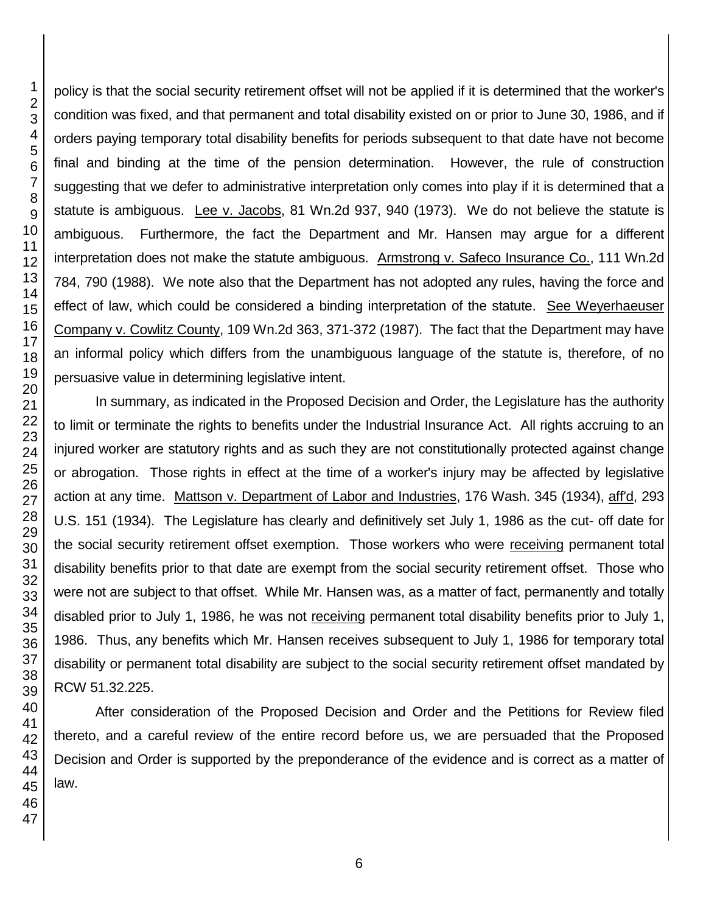policy is that the social security retirement offset will not be applied if it is determined that the worker's condition was fixed, and that permanent and total disability existed on or prior to June 30, 1986, and if orders paying temporary total disability benefits for periods subsequent to that date have not become final and binding at the time of the pension determination. However, the rule of construction suggesting that we defer to administrative interpretation only comes into play if it is determined that a statute is ambiguous. Lee v. Jacobs, 81 Wn.2d 937, 940 (1973). We do not believe the statute is ambiguous. Furthermore, the fact the Department and Mr. Hansen may argue for a different interpretation does not make the statute ambiguous. Armstrong v. Safeco Insurance Co., 111 Wn.2d 784, 790 (1988). We note also that the Department has not adopted any rules, having the force and effect of law, which could be considered a binding interpretation of the statute. See Weyerhaeuser Company v. Cowlitz County, 109 Wn.2d 363, 371-372 (1987). The fact that the Department may have an informal policy which differs from the unambiguous language of the statute is, therefore, of no persuasive value in determining legislative intent.

In summary, as indicated in the Proposed Decision and Order, the Legislature has the authority to limit or terminate the rights to benefits under the Industrial Insurance Act. All rights accruing to an injured worker are statutory rights and as such they are not constitutionally protected against change or abrogation. Those rights in effect at the time of a worker's injury may be affected by legislative action at any time. Mattson v. Department of Labor and Industries, 176 Wash. 345 (1934), aff'd, 293 U.S. 151 (1934). The Legislature has clearly and definitively set July 1, 1986 as the cut- off date for the social security retirement offset exemption. Those workers who were receiving permanent total disability benefits prior to that date are exempt from the social security retirement offset. Those who were not are subject to that offset. While Mr. Hansen was, as a matter of fact, permanently and totally disabled prior to July 1, 1986, he was not receiving permanent total disability benefits prior to July 1, 1986. Thus, any benefits which Mr. Hansen receives subsequent to July 1, 1986 for temporary total disability or permanent total disability are subject to the social security retirement offset mandated by RCW 51.32.225.

After consideration of the Proposed Decision and Order and the Petitions for Review filed thereto, and a careful review of the entire record before us, we are persuaded that the Proposed Decision and Order is supported by the preponderance of the evidence and is correct as a matter of law.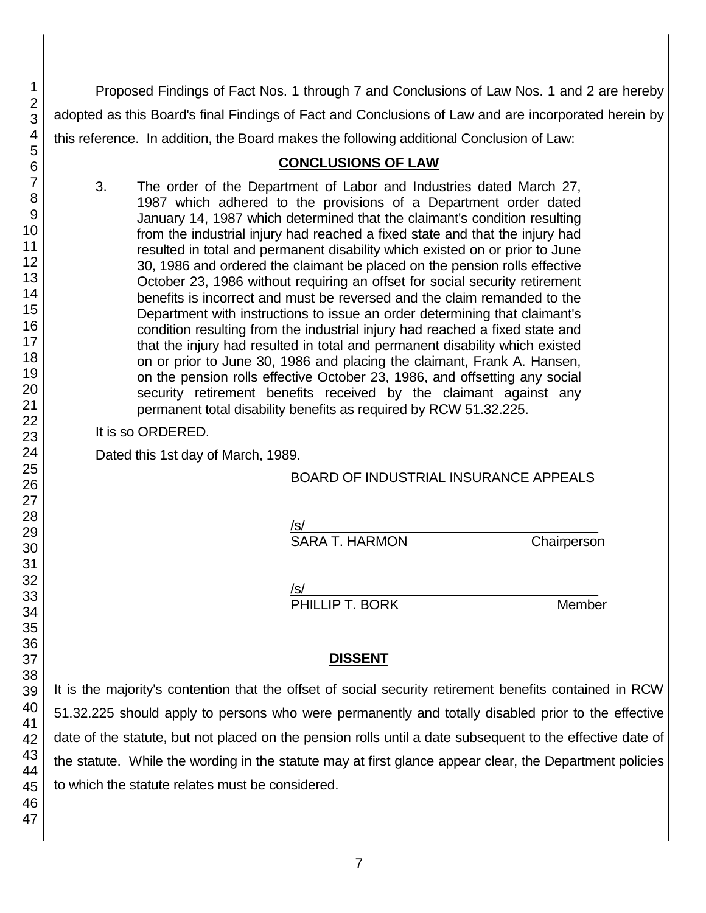Proposed Findings of Fact Nos. 1 through 7 and Conclusions of Law Nos. 1 and 2 are hereby adopted as this Board's final Findings of Fact and Conclusions of Law and are incorporated herein by this reference. In addition, the Board makes the following additional Conclusion of Law:

## **CONCLUSIONS OF LAW**

3. The order of the Department of Labor and Industries dated March 27, 1987 which adhered to the provisions of a Department order dated January 14, 1987 which determined that the claimant's condition resulting from the industrial injury had reached a fixed state and that the injury had resulted in total and permanent disability which existed on or prior to June 30, 1986 and ordered the claimant be placed on the pension rolls effective October 23, 1986 without requiring an offset for social security retirement benefits is incorrect and must be reversed and the claim remanded to the Department with instructions to issue an order determining that claimant's condition resulting from the industrial injury had reached a fixed state and that the injury had resulted in total and permanent disability which existed on or prior to June 30, 1986 and placing the claimant, Frank A. Hansen, on the pension rolls effective October 23, 1986, and offsetting any social security retirement benefits received by the claimant against any permanent total disability benefits as required by RCW 51.32.225.

It is so ORDERED.

Dated this 1st day of March, 1989.

BOARD OF INDUSTRIAL INSURANCE APPEALS

/s/\_\_\_\_\_\_\_\_\_\_\_\_\_\_\_\_\_\_\_\_\_\_\_\_\_\_\_\_\_\_\_\_\_\_\_\_\_\_\_

SARA T. HARMON Chairperson

/s/  $\,$ 

PHILLIP T. BORK Member

# **DISSENT**

It is the majority's contention that the offset of social security retirement benefits contained in RCW 51.32.225 should apply to persons who were permanently and totally disabled prior to the effective date of the statute, but not placed on the pension rolls until a date subsequent to the effective date of the statute. While the wording in the statute may at first glance appear clear, the Department policies to which the statute relates must be considered.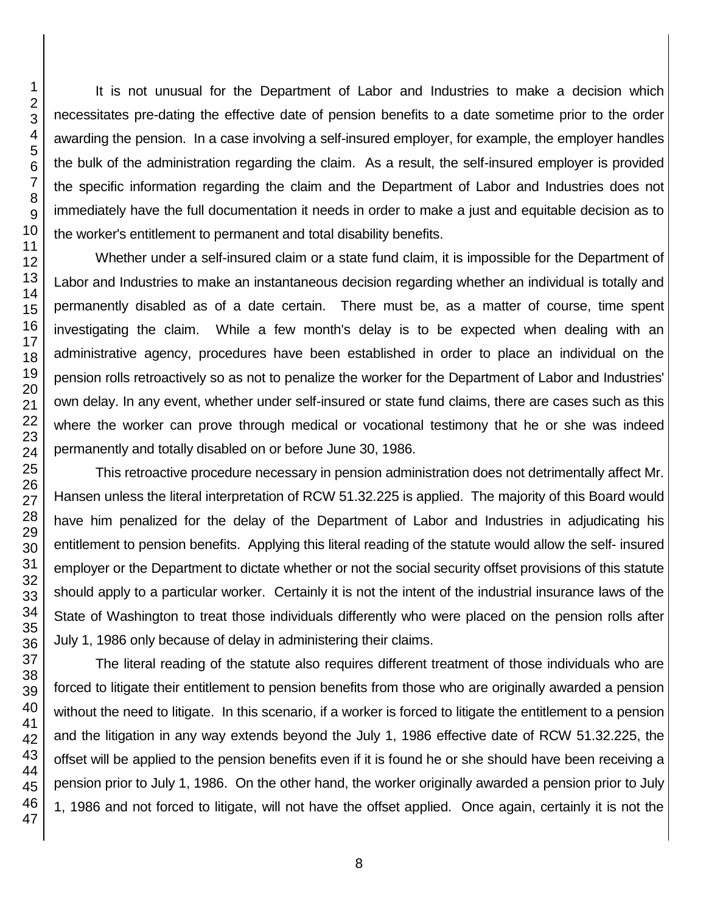It is not unusual for the Department of Labor and Industries to make a decision which necessitates pre-dating the effective date of pension benefits to a date sometime prior to the order awarding the pension. In a case involving a self-insured employer, for example, the employer handles the bulk of the administration regarding the claim. As a result, the self-insured employer is provided the specific information regarding the claim and the Department of Labor and Industries does not immediately have the full documentation it needs in order to make a just and equitable decision as to the worker's entitlement to permanent and total disability benefits.

Whether under a self-insured claim or a state fund claim, it is impossible for the Department of Labor and Industries to make an instantaneous decision regarding whether an individual is totally and permanently disabled as of a date certain. There must be, as a matter of course, time spent investigating the claim. While a few month's delay is to be expected when dealing with an administrative agency, procedures have been established in order to place an individual on the pension rolls retroactively so as not to penalize the worker for the Department of Labor and Industries' own delay. In any event, whether under self-insured or state fund claims, there are cases such as this where the worker can prove through medical or vocational testimony that he or she was indeed permanently and totally disabled on or before June 30, 1986.

This retroactive procedure necessary in pension administration does not detrimentally affect Mr. Hansen unless the literal interpretation of RCW 51.32.225 is applied. The majority of this Board would have him penalized for the delay of the Department of Labor and Industries in adjudicating his entitlement to pension benefits. Applying this literal reading of the statute would allow the self- insured employer or the Department to dictate whether or not the social security offset provisions of this statute should apply to a particular worker. Certainly it is not the intent of the industrial insurance laws of the State of Washington to treat those individuals differently who were placed on the pension rolls after July 1, 1986 only because of delay in administering their claims.

The literal reading of the statute also requires different treatment of those individuals who are forced to litigate their entitlement to pension benefits from those who are originally awarded a pension without the need to litigate. In this scenario, if a worker is forced to litigate the entitlement to a pension and the litigation in any way extends beyond the July 1, 1986 effective date of RCW 51.32.225, the offset will be applied to the pension benefits even if it is found he or she should have been receiving a pension prior to July 1, 1986. On the other hand, the worker originally awarded a pension prior to July 1, 1986 and not forced to litigate, will not have the offset applied. Once again, certainly it is not the